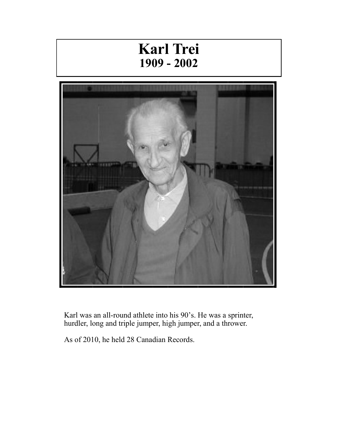## **Karl Trei 1909 - 2002**



Karl was an all-round athlete into his 90's. He was a sprinter, hurdler, long and triple jumper, high jumper, and a thrower.

As of 2010, he held 28 Canadian Records.